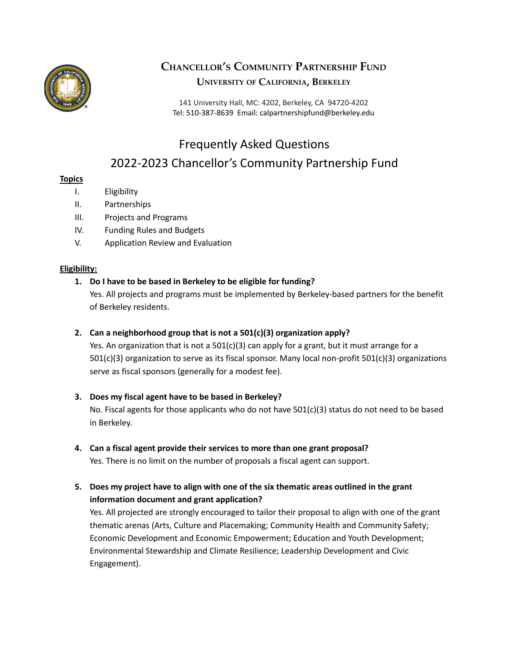

## **CHANCELLOR'<sup>S</sup> COMMUNITY PARTNERSHIP FUND UNIVERSITY OF CALIFORNIA, BERKELEY**

141 University Hall, MC: 4202, Berkeley, CA 94720-4202 Tel: 510-387-8639 Email: calpartnershipfund@berkeley.edu

# Frequently Asked Questions 2022-2023 Chancellor's Community Partnership Fund

### **Topics**

- I. Eligibility
- II. Partnerships
- III. Projects and Programs
- IV. Funding Rules and Budgets
- V. Application Review and Evaluation

### **Eligibility:**

### **1. Do I have to be based in Berkeley to be eligible for funding?**

Yes. All projects and programs must be implemented by Berkeley-based partners for the benefit of Berkeley residents.

### **2. Can a neighborhood group that is not a 501(c)(3) organization apply?**

Yes. An organization that is not a  $501(c)(3)$  can apply for a grant, but it must arrange for a 501(c)(3) organization to serve as its fiscal sponsor. Many local non-profit 501(c)(3) organizations serve as fiscal sponsors (generally for a modest fee).

### **3. Does my fiscal agent have to be based in Berkeley?**

No. Fiscal agents for those applicants who do not have  $501(c)(3)$  status do not need to be based in Berkeley.

### **4. Can a fiscal agent provide their services to more than one grant proposal?**

Yes. There is no limit on the number of proposals a fiscal agent can support.

**5. Does my project have to align with one of the six thematic areas outlined in the grant information document and grant application?**

Yes. All projected are strongly encouraged to tailor their proposal to align with one of the grant thematic arenas (Arts, Culture and Placemaking; Community Health and Community Safety; Economic Development and Economic Empowerment; Education and Youth Development; Environmental Stewardship and Climate Resilience; Leadership Development and Civic Engagement).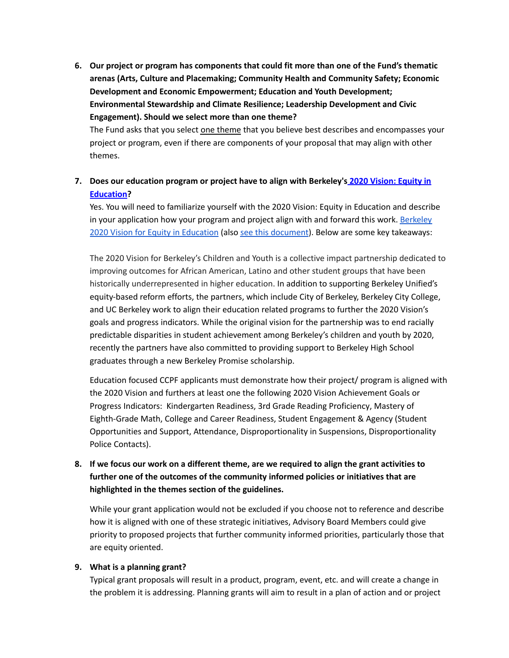**6. Our project or program has components that could fit more than one of the Fund's thematic arenas (Arts, Culture and Placemaking; Community Health and Community Safety; Economic Development and Economic Empowerment; Education and Youth Development; Environmental Stewardship and Climate Resilience; Leadership Development and Civic Engagement). Should we select more than one theme?**

The Fund asks that you select one theme that you believe best describes and encompasses your project or program, even if there are components of your proposal that may align with other themes.

### **7. Does our education program or project have to align with Berkeley's 2020 [Vision:](https://www.cityofberkeley.info/2020-vision/) Equity in [Education](https://www.cityofberkeley.info/2020-vision/)?**

Yes. You will need to familiarize yourself with the 2020 Vision: Equity in Education and describe in your application how your program and project align with and forward this work. [Berkeley](https://www.cityofberkeley.info/2020-vision/) 2020 Vision for Equity in [Education](https://www.cityofberkeley.info/2020-vision/) (also see this [document](https://chancellor.berkeley.edu/sites/default/files/2020_vision_overview_7.16.18.pdf)). Below are some key takeaways:

The 2020 Vision for Berkeley's Children and Youth is a collective impact partnership dedicated to improving outcomes for African American, Latino and other student groups that have been historically underrepresented in higher education. In addition to supporting Berkeley Unified's equity-based reform efforts, the partners, which include City of Berkeley, Berkeley City College, and UC Berkeley work to align their education related programs to further the 2020 Vision's goals and progress indicators. While the original vision for the partnership was to end racially predictable disparities in student achievement among Berkeley's children and youth by 2020, recently the partners have also committed to providing support to Berkeley High School graduates through a new Berkeley Promise scholarship.

Education focused CCPF applicants must demonstrate how their project/ program is aligned with the 2020 Vision and furthers at least one the following 2020 Vision Achievement Goals or Progress Indicators: Kindergarten Readiness, 3rd Grade Reading Proficiency, Mastery of Eighth-Grade Math, College and Career Readiness, Student Engagement & Agency (Student Opportunities and Support, Attendance, Disproportionality in Suspensions, Disproportionality Police Contacts).

### 8. If we focus our work on a different theme, are we required to align the grant activities to **further one of the outcomes of the community informed policies or initiatives that are highlighted in the themes section of the guidelines.**

While your grant application would not be excluded if you choose not to reference and describe how it is aligned with one of these strategic initiatives, Advisory Board Members could give priority to proposed projects that further community informed priorities, particularly those that are equity oriented.

### **9. What is a planning grant?**

Typical grant proposals will result in a product, program, event, etc. and will create a change in the problem it is addressing. Planning grants will aim to result in a plan of action and or project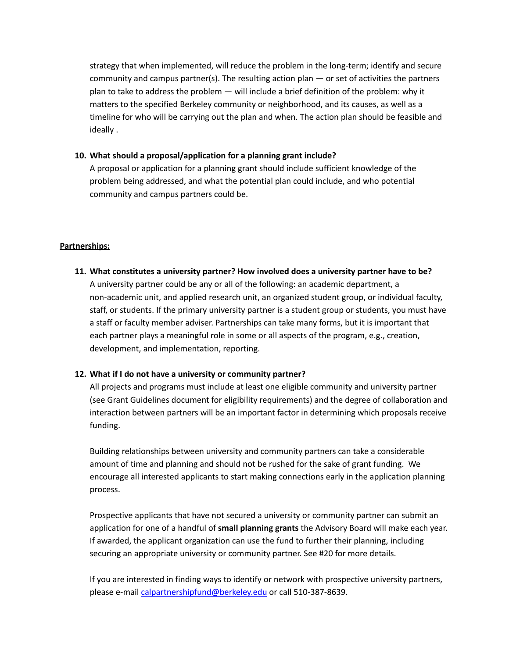strategy that when implemented, will reduce the problem in the long-term; identify and secure community and campus partner(s). The resulting action plan  $-$  or set of activities the partners plan to take to address the problem — will include a brief definition of the problem: why it matters to the specified Berkeley community or neighborhood, and its causes, as well as a timeline for who will be carrying out the plan and when. The action plan should be feasible and ideally .

#### **10. What should a proposal/application for a planning grant include?**

A proposal or application for a planning grant should include sufficient knowledge of the problem being addressed, and what the potential plan could include, and who potential community and campus partners could be.

#### **Partnerships:**

**11. What constitutes a university partner? How involved does a university partner have to be?** A university partner could be any or all of the following: an academic department, a non-academic unit, and applied research unit, an organized student group, or individual faculty, staff, or students. If the primary university partner is a student group or students, you must have a staff or faculty member adviser. Partnerships can take many forms, but it is important that each partner plays a meaningful role in some or all aspects of the program, e.g., creation, development, and implementation, reporting.

### **12. What if I do not have a university or community partner?**

All projects and programs must include at least one eligible community and university partner (see Grant Guidelines document for eligibility requirements) and the degree of collaboration and interaction between partners will be an important factor in determining which proposals receive funding.

Building relationships between university and community partners can take a considerable amount of time and planning and should not be rushed for the sake of grant funding. We encourage all interested applicants to start making connections early in the application planning process.

Prospective applicants that have not secured a university or community partner can submit an application for one of a handful of **small planning grants** the Advisory Board will make each year. If awarded, the applicant organization can use the fund to further their planning, including securing an appropriate university or community partner. See #20 for more details.

If you are interested in finding ways to identify or network with prospective university partners, please e-mail [calpartnershipfund@berkeley.edu](mailto:calpartnershipfund@berkeley.edu) or call 510-387-8639.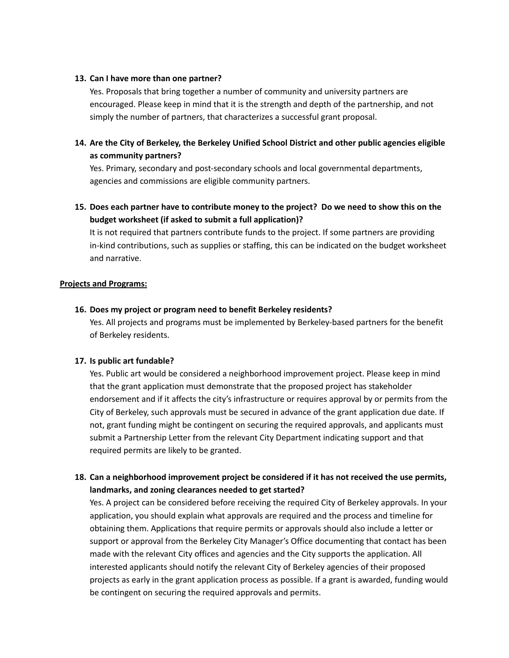#### **13. Can I have more than one partner?**

Yes. Proposals that bring together a number of community and university partners are encouraged. Please keep in mind that it is the strength and depth of the partnership, and not simply the number of partners, that characterizes a successful grant proposal.

### **14. Are the City of Berkeley, the Berkeley Unified School District and other public agencies eligible as community partners?**

Yes. Primary, secondary and post-secondary schools and local governmental departments, agencies and commissions are eligible community partners.

### 15. Does each partner have to contribute money to the project? Do we need to show this on the **budget worksheet (if asked to submit a full application)?**

It is not required that partners contribute funds to the project. If some partners are providing in-kind contributions, such as supplies or staffing, this can be indicated on the budget worksheet and narrative.

### **Projects and Programs:**

### **16. Does my project or program need to benefit Berkeley residents?**

Yes. All projects and programs must be implemented by Berkeley-based partners for the benefit of Berkeley residents.

### **17. Is public art fundable?**

Yes. Public art would be considered a neighborhood improvement project. Please keep in mind that the grant application must demonstrate that the proposed project has stakeholder endorsement and if it affects the city's infrastructure or requires approval by or permits from the City of Berkeley, such approvals must be secured in advance of the grant application due date. If not, grant funding might be contingent on securing the required approvals, and applicants must submit a Partnership Letter from the relevant City Department indicating support and that required permits are likely to be granted.

### **18. Can a neighborhood improvement project be considered if it has not received the use permits, landmarks, and zoning clearances needed to get started?**

Yes. A project can be considered before receiving the required City of Berkeley approvals. In your application, you should explain what approvals are required and the process and timeline for obtaining them. Applications that require permits or approvals should also include a letter or support or approval from the Berkeley City Manager's Office documenting that contact has been made with the relevant City offices and agencies and the City supports the application. All interested applicants should notify the relevant City of Berkeley agencies of their proposed projects as early in the grant application process as possible. If a grant is awarded, funding would be contingent on securing the required approvals and permits.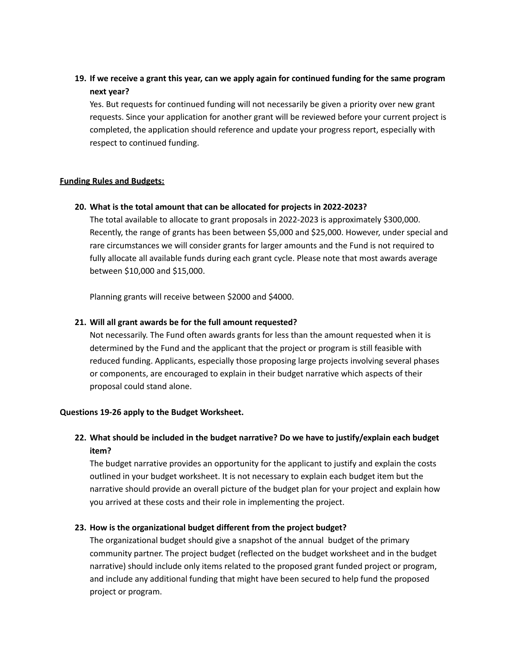### 19. If we receive a grant this year, can we apply again for continued funding for the same program **next year?**

Yes. But requests for continued funding will not necessarily be given a priority over new grant requests. Since your application for another grant will be reviewed before your current project is completed, the application should reference and update your progress report, especially with respect to continued funding.

#### **Funding Rules and Budgets:**

#### **20. What is the total amount that can be allocated for projects in 2022-2023?**

The total available to allocate to grant proposals in 2022-2023 is approximately \$300,000. Recently, the range of grants has been between \$5,000 and \$25,000. However, under special and rare circumstances we will consider grants for larger amounts and the Fund is not required to fully allocate all available funds during each grant cycle. Please note that most awards average between \$10,000 and \$15,000.

Planning grants will receive between \$2000 and \$4000.

#### **21. Will all grant awards be for the full amount requested?**

Not necessarily. The Fund often awards grants for less than the amount requested when it is determined by the Fund and the applicant that the project or program is still feasible with reduced funding. Applicants, especially those proposing large projects involving several phases or components, are encouraged to explain in their budget narrative which aspects of their proposal could stand alone.

#### **Questions 19-26 apply to the Budget Worksheet.**

### **22. What should be included in the budget narrative? Do we have to justify/explain each budget item?**

The budget narrative provides an opportunity for the applicant to justify and explain the costs outlined in your budget worksheet. It is not necessary to explain each budget item but the narrative should provide an overall picture of the budget plan for your project and explain how you arrived at these costs and their role in implementing the project.

### **23. How is the organizational budget different from the project budget?**

The organizational budget should give a snapshot of the annual budget of the primary community partner. The project budget (reflected on the budget worksheet and in the budget narrative) should include only items related to the proposed grant funded project or program, and include any additional funding that might have been secured to help fund the proposed project or program.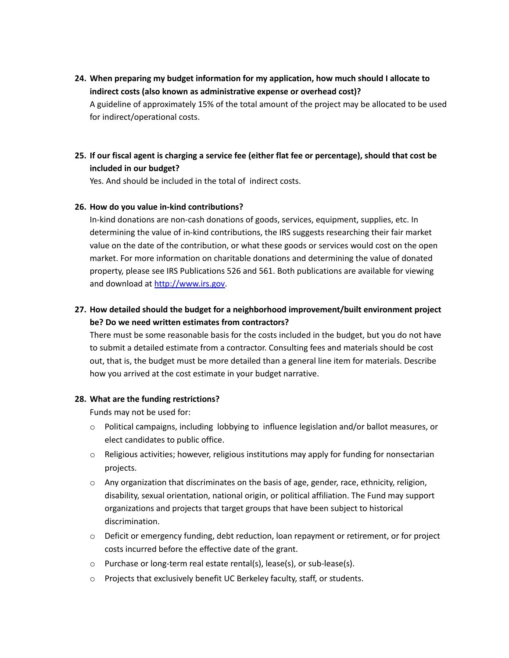**24. When preparing my budget information for my application, how much should I allocate to indirect costs (also known as administrative expense or overhead cost)?** A guideline of approximately 15% of the total amount of the project may be allocated to be used for indirect/operational costs.

### 25. If our fiscal agent is charging a service fee (either flat fee or percentage), should that cost be **included in our budget?**

Yes. And should be included in the total of indirect costs.

#### **26. How do you value in-kind contributions?**

In-kind donations are non-cash donations of goods, services, equipment, supplies, etc. In determining the value of in-kind contributions, the IRS suggests researching their fair market value on the date of the contribution, or what these goods or services would cost on the open market. For more information on charitable donations and determining the value of donated property, please see IRS Publications 526 and 561. Both publications are available for viewing and download at [http://www.irs.gov.](http://www.irs.gov)

### **27. How detailed should the budget for a neighborhood improvement/built environment project be? Do we need written estimates from contractors?**

There must be some reasonable basis for the costs included in the budget, but you do not have to submit a detailed estimate from a contractor. Consulting fees and materials should be cost out, that is, the budget must be more detailed than a general line item for materials. Describe how you arrived at the cost estimate in your budget narrative.

#### **28. What are the funding restrictions?**

Funds may not be used for:

- $\circ$  Political campaigns, including lobbying to influence legislation and/or ballot measures, or elect candidates to public office.
- $\circ$  Religious activities; however, religious institutions may apply for funding for nonsectarian projects.
- $\circ$  Any organization that discriminates on the basis of age, gender, race, ethnicity, religion, disability, sexual orientation, national origin, or political affiliation. The Fund may support organizations and projects that target groups that have been subject to historical discrimination.
- o Deficit or emergency funding, debt reduction, loan repayment or retirement, or for project costs incurred before the effective date of the grant.
- o Purchase or long-term real estate rental(s), lease(s), or sub-lease(s).
- o Projects that exclusively benefit UC Berkeley faculty, staff, or students.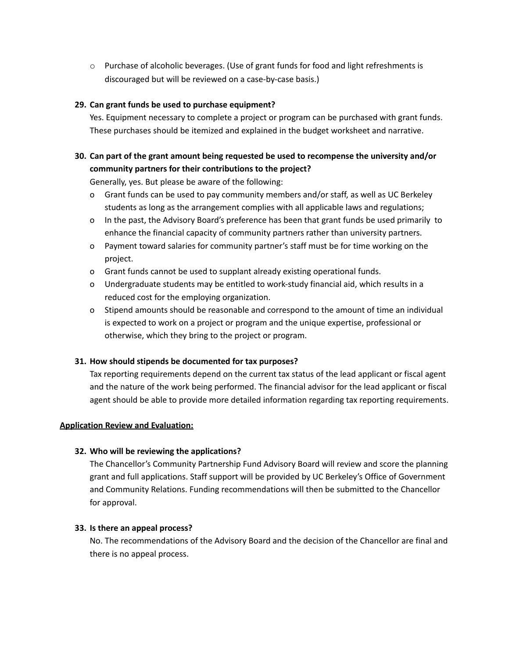$\circ$  Purchase of alcoholic beverages. (Use of grant funds for food and light refreshments is discouraged but will be reviewed on a case-by-case basis.)

### **29. Can grant funds be used to purchase equipment?**

Yes. Equipment necessary to complete a project or program can be purchased with grant funds. These purchases should be itemized and explained in the budget worksheet and narrative.

### **30. Can part of the grant amount being requested be used to recompense the university and/or community partners for their contributions to the project?**

Generally, yes. But please be aware of the following:

- o Grant funds can be used to pay community members and/or staff, as well as UC Berkeley students as long as the arrangement complies with all applicable laws and regulations;
- o In the past, the Advisory Board's preference has been that grant funds be used primarily to enhance the financial capacity of community partners rather than university partners.
- o Payment toward salaries for community partner's staff must be for time working on the project.
- o Grant funds cannot be used to supplant already existing operational funds.
- o Undergraduate students may be entitled to work-study financial aid, which results in a reduced cost for the employing organization.
- o Stipend amounts should be reasonable and correspond to the amount of time an individual is expected to work on a project or program and the unique expertise, professional or otherwise, which they bring to the project or program.

### **31. How should stipends be documented for tax purposes?**

Tax reporting requirements depend on the current tax status of the lead applicant or fiscal agent and the nature of the work being performed. The financial advisor for the lead applicant or fiscal agent should be able to provide more detailed information regarding tax reporting requirements.

### **Application Review and Evaluation:**

### **32. Who will be reviewing the applications?**

The Chancellor's Community Partnership Fund Advisory Board will review and score the planning grant and full applications. Staff support will be provided by UC Berkeley's Office of Government and Community Relations. Funding recommendations will then be submitted to the Chancellor for approval.

### **33. Is there an appeal process?**

No. The recommendations of the Advisory Board and the decision of the Chancellor are final and there is no appeal process.